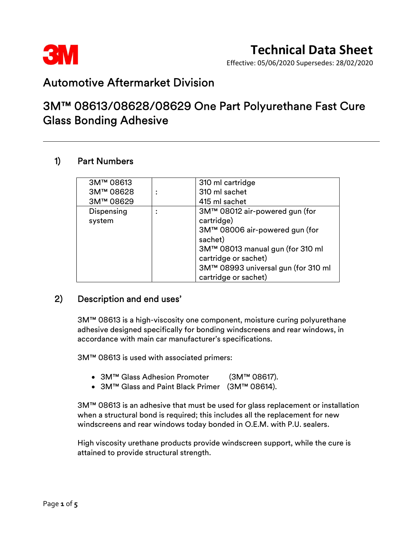

Effective: 05/06/2020 Supersedes: 28/02/2020

## Automotive Aftermarket Division

## 3M™ 08613/08628/08629 One Part Polyurethane Fast Cure Glass Bonding Adhesive

#### 1) Part Numbers

| 3M™ 08613  | 310 ml cartridge                    |
|------------|-------------------------------------|
| 3M™ 08628  | 310 ml sachet                       |
| 3M™ 08629  | 415 ml sachet                       |
| Dispensing | 3M™ 08012 air-powered gun (for      |
| system     | cartridge)                          |
|            | 3M™ 08006 air-powered gun (for      |
|            | sachet)                             |
|            | 3M™ 08013 manual gun (for 310 ml    |
|            | cartridge or sachet)                |
|            | 3M™ 08993 universal gun (for 310 ml |
|            | cartridge or sachet)                |

### 2) Description and end uses'

 3M™ 08613 is a high-viscosity one component, moisture curing polyurethane adhesive designed specifically for bonding windscreens and rear windows, in accordance with main car manufacturer's specifications.

3M™ 08613 is used with associated primers:

- 3M™ Glass Adhesion Promoter (3M™ 08617).
- 3M™ Glass and Paint Black Primer (3M™ 08614).

3M™ 08613 is an adhesive that must be used for glass replacement or installation when a structural bond is required; this includes all the replacement for new windscreens and rear windows today bonded in O.E.M. with P.U. sealers.

High viscosity urethane products provide windscreen support, while the cure is attained to provide structural strength.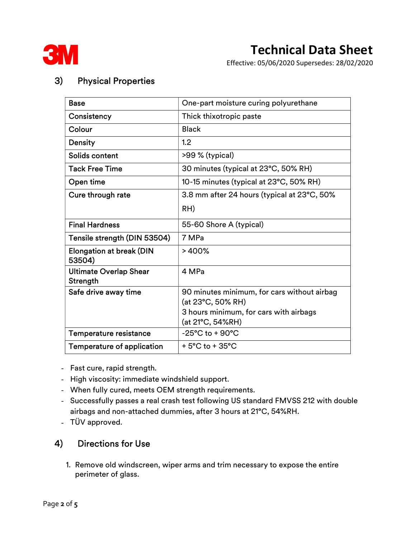

Effective: 05/06/2020 Supersedes: 28/02/2020

## 3) Physical Properties

| <b>Base</b>                               | One-part moisture curing polyurethane                            |
|-------------------------------------------|------------------------------------------------------------------|
| Consistency                               | Thick thixotropic paste                                          |
| Colour                                    | <b>Black</b>                                                     |
| <b>Density</b>                            | 1.2                                                              |
| Solids content                            | >99 % (typical)                                                  |
| <b>Tack Free Time</b>                     | 30 minutes (typical at 23°C, 50% RH)                             |
| Open time                                 | 10-15 minutes (typical at 23°C, 50% RH)                          |
| Cure through rate                         | 3.8 mm after 24 hours (typical at 23°C, 50%                      |
|                                           | RH)                                                              |
| <b>Final Hardness</b>                     | 55-60 Shore A (typical)                                          |
| Tensile strength (DIN 53504)              | 7 MPa                                                            |
| <b>Elongation at break (DIN</b><br>53504) | >400%                                                            |
| <b>Ultimate Overlap Shear</b><br>Strength | 4 MPa                                                            |
| Safe drive away time                      | 90 minutes minimum, for cars without airbag<br>(at 23°C, 50% RH) |
|                                           | 3 hours minimum, for cars with airbags<br>(at 21°C, 54%RH)       |
| Temperature resistance                    | $-25^{\circ}$ C to + 90 $^{\circ}$ C                             |
| Temperature of application                | $+5^{\circ}$ C to $+35^{\circ}$ C                                |

- Fast cure, rapid strength.
- High viscosity: immediate windshield support.
- When fully cured, meets OEM strength requirements.
- Successfully passes a real crash test following US standard FMVSS 212 with double airbags and non-attached dummies, after 3 hours at 21°C, 54%RH.
- TÜV approved.

### 4) Directions for Use

 1. Remove old windscreen, wiper arms and trim necessary to expose the entire perimeter of glass.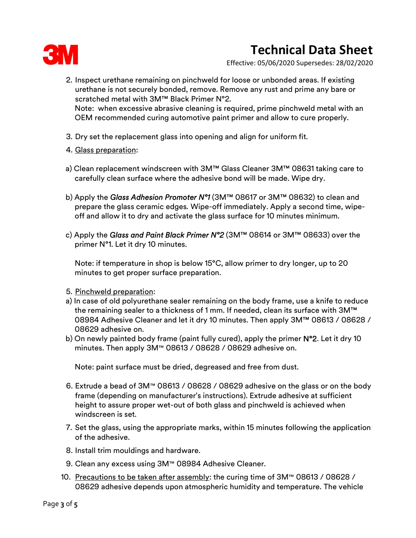

Effective: 05/06/2020 Supersedes: 28/02/2020

- 2. Inspect urethane remaining on pinchweld for loose or unbonded areas. If existing urethane is not securely bonded, remove. Remove any rust and prime any bare or scratched metal with 3M™ Black Primer N°2. Note: when excessive abrasive cleaning is required, prime pinchweld metal with an OEM recommended curing automotive paint primer and allow to cure properly.
- 3. Dry set the replacement glass into opening and align for uniform fit.
- 4. Glass preparation:
- a) Clean replacement windscreen with 3M™ Glass Cleaner 3M™ 08631 taking care to carefully clean surface where the adhesive bond will be made. Wipe dry.
- b) Apply the Glass Adhesion Promoter  $N^{\circ}1$  (3M™ 08617 or 3M™ 08632) to clean and prepare the glass ceramic edges. Wipe-off immediately. Apply a second time, wipeoff and allow it to dry and activate the glass surface for 10 minutes minimum.
- c) Apply the Glass and Paint Black Primer N°2 (3M™ 08614 or 3M™ 08633) over the primer N°1. Let it dry 10 minutes.

Note: if temperature in shop is below 15°C, allow primer to dry longer, up to 20 minutes to get proper surface preparation.

- 5. Pinchweld preparation:
- a) In case of old polyurethane sealer remaining on the body frame, use a knife to reduce the remaining sealer to a thickness of 1 mm. If needed, clean its surface with 3M™ 08984 Adhesive Cleaner and let it dry 10 minutes. Then apply 3M™ 08613 / 08628 / 08629 adhesive on.
- b) On newly painted body frame (paint fully cured), apply the primer  $N^{\circ}2$ . Let it dry 10 minutes. Then apply 3M™ 08613 / 08628 / 08629 adhesive on.

Note: paint surface must be dried, degreased and free from dust.

- 6. Extrude a bead of 3M™ 08613 / 08628 / 08629 adhesive on the glass or on the body frame (depending on manufacturer's instructions). Extrude adhesive at sufficient height to assure proper wet-out of both glass and pinchweld is achieved when windscreen is set.
- 7. Set the glass, using the appropriate marks, within 15 minutes following the application of the adhesive.
- 8. Install trim mouldings and hardware.
- 9. Clean any excess using 3M™ 08984 Adhesive Cleaner.
- 10. <u>Precautions to be taken after assembly</u>: the curing time of 3M™ 08613 / 08628 / 08629 adhesive depends upon atmospheric humidity and temperature. The vehicle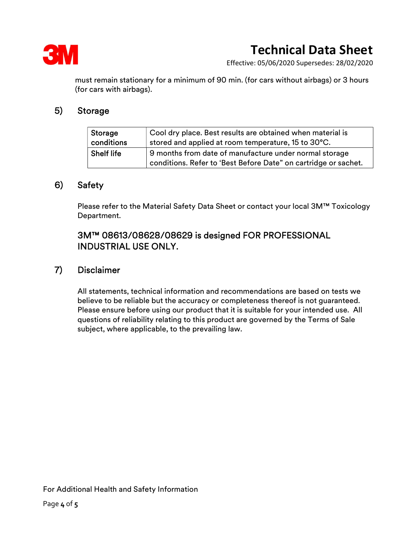

Effective: 05/06/2020 Supersedes: 28/02/2020

must remain stationary for a minimum of 90 min. (for cars without airbags) or 3 hours (for cars with airbags).

#### 5) Storage

| Storage           | Cool dry place. Best results are obtained when material is      |
|-------------------|-----------------------------------------------------------------|
| conditions        | stored and applied at room temperature, 15 to 30°C.             |
| <b>Shelf life</b> | 9 months from date of manufacture under normal storage          |
|                   | conditions. Refer to 'Best Before Date" on cartridge or sachet. |

#### 6) Safety

Please refer to the Material Safety Data Sheet or contact your local 3M™ Toxicology Department.

### 3M™ 08613/08628/08629 is designed FOR PROFESSIONAL INDUSTRIAL USE ONLY.

#### 7) Disclaimer

 All statements, technical information and recommendations are based on tests we believe to be reliable but the accuracy or completeness thereof is not guaranteed. Please ensure before using our product that it is suitable for your intended use. All questions of reliability relating to this product are governed by the Terms of Sale subject, where applicable, to the prevailing law.